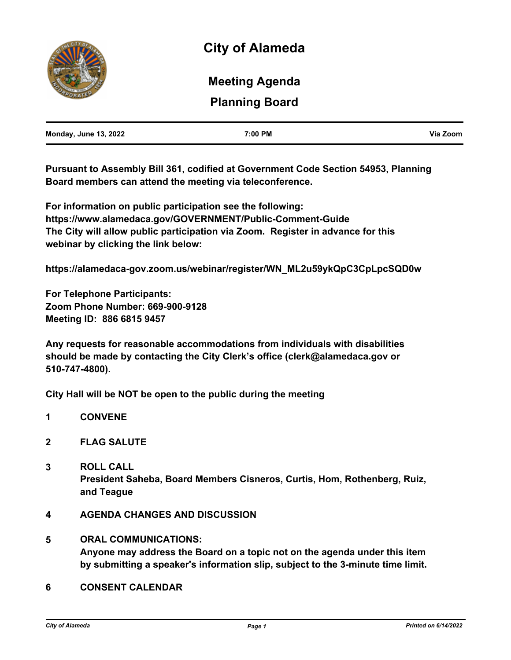

# **Planning Board Meeting Agenda**

| <b>Monday, June 13, 2022</b> | 7:00 PM | Via Zoom |
|------------------------------|---------|----------|
|                              |         |          |

**Pursuant to Assembly Bill 361, codified at Government Code Section 54953, Planning Board members can attend the meeting via teleconference.** 

**For information on public participation see the following: https://www.alamedaca.gov/GOVERNMENT/Public-Comment-Guide The City will allow public participation via Zoom. Register in advance for this webinar by clicking the link below:**

**https://alamedaca-gov.zoom.us/webinar/register/WN\_ML2u59ykQpC3CpLpcSQD0w**

**For Telephone Participants: Zoom Phone Number: 669-900-9128 Meeting ID: 886 6815 9457**

**Any requests for reasonable accommodations from individuals with disabilities should be made by contacting the City Clerk's office (clerk@alamedaca.gov or 510-747-4800).**

**City Hall will be NOT be open to the public during the meeting**

- **1 CONVENE**
- **2 FLAG SALUTE**
- **3 ROLL CALL President Saheba, Board Members Cisneros, Curtis, Hom, Rothenberg, Ruiz, and Teague**
- **4 AGENDA CHANGES AND DISCUSSION**
- **5 ORAL COMMUNICATIONS: Anyone may address the Board on a topic not on the agenda under this item by submitting a speaker's information slip, subject to the 3-minute time limit.**
- **6 CONSENT CALENDAR**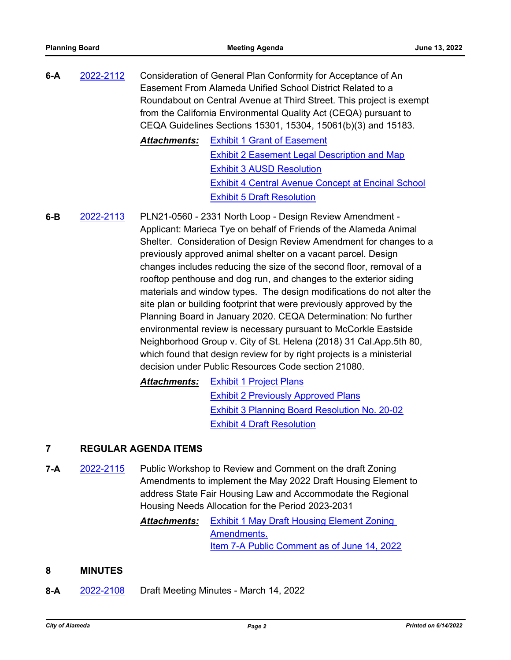**6-A** [2022-2112](http://alameda.legistar.com/gateway.aspx?m=l&id=/matter.aspx?key=11889) Consideration of General Plan Conformity for Acceptance of An Easement From Alameda Unified School District Related to a Roundabout on Central Avenue at Third Street. This project is exempt from the California Environmental Quality Act (CEQA) pursuant to CEQA Guidelines Sections 15301, 15304, 15061(b)(3) and 15183. *Attachments:* [Exhibit 1 Grant of Easement](http://alameda.legistar.com/gateway.aspx?M=F&ID=243a906b-2ac7-425a-8b67-a09f888a0bd1.pdf) [Exhibit 2 Easement Legal Description and Map](http://alameda.legistar.com/gateway.aspx?M=F&ID=17836c52-769a-4cd4-8177-2531511d91fe.pdf) [Exhibit 3 AUSD Resolution](http://alameda.legistar.com/gateway.aspx?M=F&ID=0ef342b0-2621-46f0-b7dc-cb8807a7a41d.pdf)

[Exhibit 4 Central Avenue Concept at Encinal School](http://alameda.legistar.com/gateway.aspx?M=F&ID=7e52a72b-35ba-4ab2-9144-bf7848084bf0.pdf) [Exhibit 5 Draft Resolution](http://alameda.legistar.com/gateway.aspx?M=F&ID=7fcd6637-9441-4562-9791-9951b4a88403.pdf)

**6-B** [2022-2113](http://alameda.legistar.com/gateway.aspx?m=l&id=/matter.aspx?key=11890) PLN21-0560 - 2331 North Loop - Design Review Amendment - Applicant: Marieca Tye on behalf of Friends of the Alameda Animal Shelter. Consideration of Design Review Amendment for changes to a previously approved animal shelter on a vacant parcel. Design changes includes reducing the size of the second floor, removal of a rooftop penthouse and dog run, and changes to the exterior siding materials and window types. The design modifications do not alter the site plan or building footprint that were previously approved by the Planning Board in January 2020. CEQA Determination: No further environmental review is necessary pursuant to McCorkle Eastside Neighborhood Group v. City of St. Helena (2018) 31 Cal.App.5th 80, which found that design review for by right projects is a ministerial decision under Public Resources Code section 21080.

*Attachments:* [Exhibit 1 Project Plans](http://alameda.legistar.com/gateway.aspx?M=F&ID=4e6edb1b-ef81-4b42-8555-1e45d7c366e1.pdf) [Exhibit 2 Previously Approved Plans](http://alameda.legistar.com/gateway.aspx?M=F&ID=32e00a90-0129-49a3-80b7-1d7e20fbf85d.pdf) [Exhibit 3 Planning Board Resolution No. 20-02](http://alameda.legistar.com/gateway.aspx?M=F&ID=ef3e7449-7315-47f1-af94-3f0543d27357.pdf) [Exhibit 4 Draft Resolution](http://alameda.legistar.com/gateway.aspx?M=F&ID=40a1e1cd-3115-4b7d-901d-66cb2aace38a.pdf)

## **7 REGULAR AGENDA ITEMS**

**7-A** [2022-2115](http://alameda.legistar.com/gateway.aspx?m=l&id=/matter.aspx?key=11892) Public Workshop to Review and Comment on the draft Zoning Amendments to implement the May 2022 Draft Housing Element to address State Fair Housing Law and Accommodate the Regional Housing Needs Allocation for the Period 2023-2031

> *Attachments:* [Exhibit 1 May Draft Housing Element Zoning](http://alameda.legistar.com/gateway.aspx?M=F&ID=eadcd733-b361-4299-9377-a0bdc6ad8bd9.pdf)  Amendments. [Item 7-A Public Comment as of June 14, 2022](http://alameda.legistar.com/gateway.aspx?M=F&ID=a20a3889-0d68-4b30-8627-afcbc3bf0c44.pdf)

### **8 MINUTES**

**8-A** [2022-2108](http://alameda.legistar.com/gateway.aspx?m=l&id=/matter.aspx?key=11885) Draft Meeting Minutes - March 14, 2022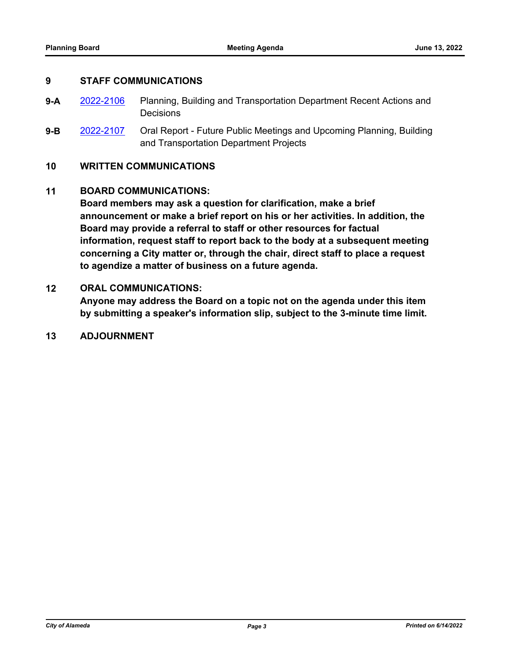#### **9 STAFF COMMUNICATIONS**

- **9-A** [2022-2106](http://alameda.legistar.com/gateway.aspx?m=l&id=/matter.aspx?key=11883) Planning, Building and Transportation Department Recent Actions and **Decisions**
- **9-B** [2022-2107](http://alameda.legistar.com/gateway.aspx?m=l&id=/matter.aspx?key=11884) Oral Report Future Public Meetings and Upcoming Planning, Building and Transportation Department Projects

#### **10 WRITTEN COMMUNICATIONS**

#### **11 BOARD COMMUNICATIONS:**

**Board members may ask a question for clarification, make a brief announcement or make a brief report on his or her activities. In addition, the Board may provide a referral to staff or other resources for factual information, request staff to report back to the body at a subsequent meeting concerning a City matter or, through the chair, direct staff to place a request to agendize a matter of business on a future agenda.**

#### **12 ORAL COMMUNICATIONS:**

**Anyone may address the Board on a topic not on the agenda under this item by submitting a speaker's information slip, subject to the 3-minute time limit.**

#### **13 ADJOURNMENT**